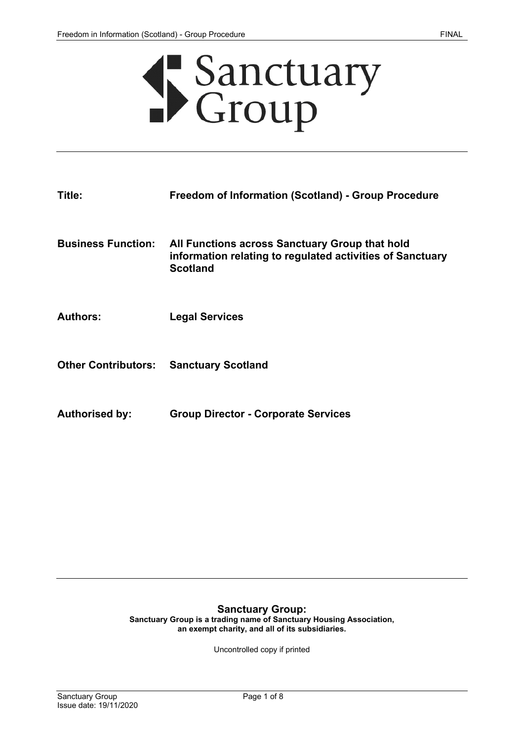

| Title:                    | <b>Freedom of Information (Scotland) - Group Procedure</b>                                                                     |
|---------------------------|--------------------------------------------------------------------------------------------------------------------------------|
| <b>Business Function:</b> | All Functions across Sanctuary Group that hold<br>information relating to regulated activities of Sanctuary<br><b>Scotland</b> |
| <b>Authors:</b>           | <b>Legal Services</b>                                                                                                          |

- **Other Contributors: Sanctuary Scotland**
- **Authorised by: Group Director - Corporate Services**

#### **Sanctuary Group: Sanctuary Group is a trading name of Sanctuary Housing Association, an exempt charity, and all of its subsidiaries.**

Uncontrolled copy if printed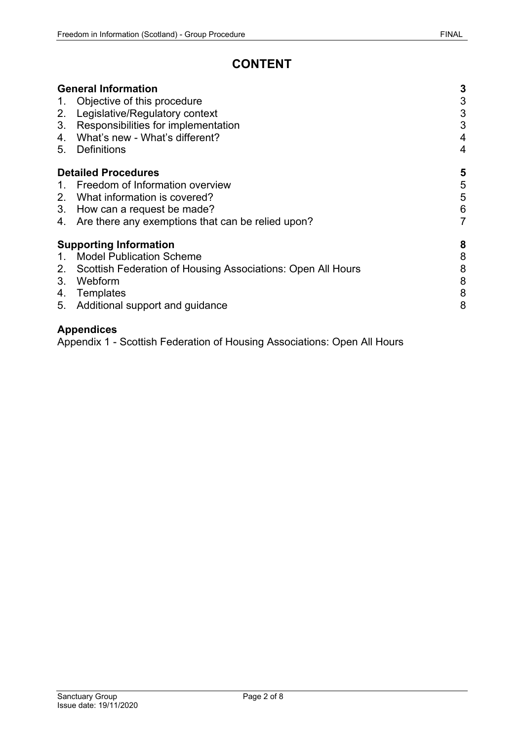# **CONTENT**

|                                    | <b>General Information</b>                                  |      |
|------------------------------------|-------------------------------------------------------------|------|
| 1.                                 | Objective of this procedure                                 |      |
| 2.                                 | Legislative/Regulatory context                              | ცე ც |
| $3_{-}$                            | Responsibilities for implementation                         |      |
| 4.                                 | What's new - What's different?                              | 4    |
| 5.                                 | <b>Definitions</b>                                          | 4    |
|                                    | <b>Detailed Procedures</b>                                  |      |
|                                    | 1. Freedom of Information overview                          | 5    |
|                                    | 2. What information is covered?                             | 5    |
|                                    | 3. How can a request be made?                               | 6    |
| 4.                                 | Are there any exemptions that can be relied upon?           | 7    |
| 8<br><b>Supporting Information</b> |                                                             |      |
|                                    | <b>Model Publication Scheme</b>                             | 8    |
| 2.                                 | Scottish Federation of Housing Associations: Open All Hours | 8    |
| 3.                                 | Webform                                                     | 8    |
|                                    | 4. Templates                                                | 8    |
| 5.                                 | Additional support and guidance                             | 8    |

# **Appendices**

Appendix 1 - Scottish Federation of Housing Associations: Open All Hours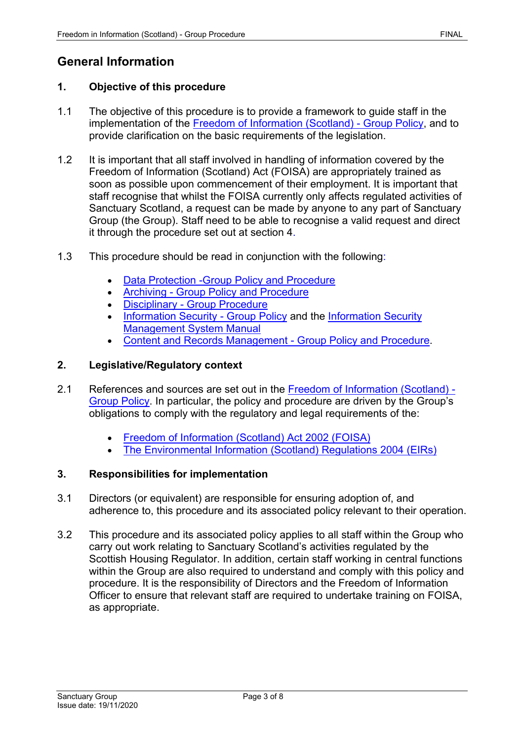# <span id="page-2-0"></span>**General Information**

### <span id="page-2-1"></span>**1. Objective of this procedure**

- 1.1 The objective of this procedure is to provide a framework to guide staff in the implementation of the [Freedom of Information \(Scotland\) -](https://solis/PolicyManagement/policy/Policies/Forms/Policy%20Document%20Set/docsethomepage.aspx?ID=7383&FolderCTID=0x0120D52000DE99EA054D4DF944BE591D81E49729D0008C670BDB86BED740B0B89E295CD8357C&List=a03723e1-d48b-4958-9669-9b86a90ef8b0&RootFolder=%2FPolicyManagement%2Fpolicy%2FPolicies%2FFreedom%20of%20Information%20%28Scotland%29%20%2D%20Group&RecSrc=%2FPolicyManagement%2Fpolicy%2FPolicies%2FFreedom%20of%20Information%20%28Scotland%29%20%2D%20Group) Group Policy, and to provide clarification on the basic requirements of the legislation.
- 1.2 It is important that all staff involved in handling of information covered by the Freedom of Information (Scotland) Act (FOISA) are appropriately trained as soon as possible upon commencement of their employment. It is important that staff recognise that whilst the FOISA currently only affects regulated activities of Sanctuary Scotland, a request can be made by anyone to any part of Sanctuary Group (the Group). Staff need to be able to recognise a valid request and direct it through the procedure set out at section 4.
- 1.3 This procedure should be read in conjunction with the following:
	- [Data Protection -Group Policy and Procedure](https://solis/PolicyManagement/policy/Policies/Forms/Policy%20Document%20Set/docsethomepage.aspx?ID=4012&FolderCTID=0x0120D52000DE99EA054D4DF944BE591D81E49729D0008C670BDB86BED740B0B89E295CD8357C&List=a03723e1-d48b-4958-9669-9b86a90ef8b0&RootFolder=%2FPolicyManagement%2Fpolicy%2FPolicies%2FData%20Protection%20%2D%20Group&RecSrc=%2FPolicyManagement%2Fpolicy%2FPolicies%2FData%20Protection%20%2D%20Group)
	- Archiving [Group Policy and Procedure](https://solis/PolicyManagement/policy/Policies/Forms/Policy%20Document%20Set/docsethomepage.aspx?ID=5498&FolderCTID=0x0120D52000DE99EA054D4DF944BE591D81E49729D0008C670BDB86BED740B0B89E295CD8357C&List=a03723e1-d48b-4958-9669-9b86a90ef8b0&RootFolder=%2FPolicyManagement%2Fpolicy%2FPolicies%2FArchiving%20%2D%20Group&RecSrc=%2FPolicyManagement%2Fpolicy%2FPolicies%2FArchiving%20%2D%20Group)
	- Disciplinary [Group Procedure](https://solis/PolicyManagement/policy/Policies/Forms/Policy%20Document%20Set/docsethomepage.aspx?ID=3940&FolderCTID=0x0120D52000DE99EA054D4DF944BE591D81E49729D0008C670BDB86BED740B0B89E295CD8357C&List=a03723e1-d48b-4958-9669-9b86a90ef8b0&RootFolder=%2FPolicyManagement%2Fpolicy%2FPolicies%2FDisciplinary%20%2D%20Group&RecSrc=%2FPolicyManagement%2Fpolicy%2FPolicies%2FDisciplinary%20%2D%20Group)
	- [Information Security -](https://solis/PolicyManagement/policy/Policies/Forms/Policy%20Document%20Set/docsethomepage.aspx?ID=4811&FolderCTID=0x0120D52000DE99EA054D4DF944BE591D81E49729D0008C670BDB86BED740B0B89E295CD8357C&List=a03723e1-d48b-4958-9669-9b86a90ef8b0&RootFolder=%2FPolicyManagement%2Fpolicy%2FPolicies%2FInformation%20Security&RecSrc=%2FPolicyManagement%2Fpolicy%2FPolicies%2FInformation%20Securityhttps://solis/PolicyManagement/policy/Policies/Forms/Policy%20Document%20Set/docsethomepage.aspx?ID=4811&FolderCTID=0x0120D52000DE99EA054D4DF944BE591D81E49729D0008C670BDB86BED740B0B89E295CD8357C&List=a03723e1-d48b-4958-9669-9b86a90ef8b0&RootFolder=%2FPolicyManagement%2Fpolicy%2FPolicies%2FInformation%20Security&RecSrc=%2FPolicyManagement%2Fpolicy%2FPolicies%2FInformation%20Security) Group Policy and the Information Security [Management System Manual](https://solis/PolicyManagement/policy/Policies/Forms/Policy%20Document%20Set/docsethomepage.aspx?ID=4811&FolderCTID=0x0120D52000DE99EA054D4DF944BE591D81E49729D0008C670BDB86BED740B0B89E295CD8357C&List=a03723e1-d48b-4958-9669-9b86a90ef8b0&RootFolder=%2FPolicyManagement%2Fpolicy%2FPolicies%2FInformation%20Security&RecSrc=%2FPolicyManagement%2Fpolicy%2FPolicies%2FInformation%20Security)
	- [Content and Records Management -](https://solis/PolicyManagement/policy/Policies/Forms/Policy%20Document%20Set/docsethomepage.aspx?ID=4124&FolderCTID=0x0120D52000DE99EA054D4DF944BE591D81E49729D0008C670BDB86BED740B0B89E295CD8357C&List=a03723e1-d48b-4958-9669-9b86a90ef8b0&RootFolder=%2FPolicyManagement%2Fpolicy%2FPolicies%2FContent%20and%20Records%20Management%20%2D%20Group&RecSrc=%2FPolicyManagement%2Fpolicy%2FPolicies%2FContent%20and%20Records%20Management%20%2D%20Group) Group Policy and Procedure.

### <span id="page-2-2"></span>**2. Legislative/Regulatory context**

- 2.1 References and sources are set out in the [Freedom of Information \(Scotland\) -](https://solis/PolicyManagement/policy/Policies/Forms/Policy%20Document%20Set/docsethomepage.aspx?ID=7383&FolderCTID=0x0120D52000DE99EA054D4DF944BE591D81E49729D0008C670BDB86BED740B0B89E295CD8357C&List=a03723e1-d48b-4958-9669-9b86a90ef8b0&RootFolder=%2FPolicyManagement%2Fpolicy%2FPolicies%2FFreedom%20of%20Information%20%28Scotland%29%20%2D%20Group&RecSrc=%2FPolicyManagement%2Fpolicy%2FPolicies%2FFreedom%20of%20Information%20%28Scotland%29%20%2D%20Group) [Group Policy.](https://solis/PolicyManagement/policy/Policies/Forms/Policy%20Document%20Set/docsethomepage.aspx?ID=7383&FolderCTID=0x0120D52000DE99EA054D4DF944BE591D81E49729D0008C670BDB86BED740B0B89E295CD8357C&List=a03723e1-d48b-4958-9669-9b86a90ef8b0&RootFolder=%2FPolicyManagement%2Fpolicy%2FPolicies%2FFreedom%20of%20Information%20%28Scotland%29%20%2D%20Group&RecSrc=%2FPolicyManagement%2Fpolicy%2FPolicies%2FFreedom%20of%20Information%20%28Scotland%29%20%2D%20Group) In particular, the policy and procedure are driven by the Group's obligations to comply with the regulatory and legal requirements of the:
	- [Freedom of Information \(Scotland\) Act 2002](http://www.legislation.gov.uk/asp/2002/13/contents) (FOISA)
	- [The Environmental Information \(Scotland\) Regulations 2004](http://www.legislation.gov.uk/ssi/2004/520/contents/made) (EIRs)

## <span id="page-2-3"></span>**3. Responsibilities for implementation**

- 3.1 Directors (or equivalent) are responsible for ensuring adoption of, and adherence to, this procedure and its associated policy relevant to their operation.
- 3.2 This procedure and its associated policy applies to all staff within the Group who carry out work relating to Sanctuary Scotland's activities regulated by the Scottish Housing Regulator. In addition, certain staff working in central functions within the Group are also required to understand and comply with this policy and procedure. It is the responsibility of Directors and the Freedom of Information Officer to ensure that relevant staff are required to undertake training on FOISA, as appropriate.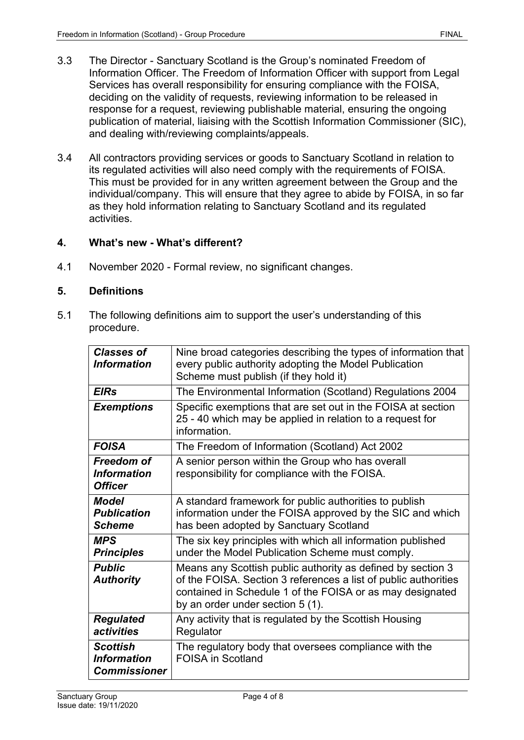- 3.3 The Director Sanctuary Scotland is the Group's nominated Freedom of Information Officer. The Freedom of Information Officer with support from Legal Services has overall responsibility for ensuring compliance with the FOISA, deciding on the validity of requests, reviewing information to be released in response for a request, reviewing publishable material, ensuring the ongoing publication of material, liaising with the Scottish Information Commissioner (SIC), and dealing with/reviewing complaints/appeals.
- 3.4 All contractors providing services or goods to Sanctuary Scotland in relation to its regulated activities will also need comply with the requirements of FOISA. This must be provided for in any written agreement between the Group and the individual/company. This will ensure that they agree to abide by FOISA, in so far as they hold information relating to Sanctuary Scotland and its regulated activities.

# <span id="page-3-0"></span>**4. What's new - What's different?**

4.1 November 2020 - Formal review, no significant changes.

## <span id="page-3-1"></span>**5. Definitions**

5.1 The following definitions aim to support the user's understanding of this procedure.

| Nine broad categories describing the types of information that<br>every public authority adopting the Model Publication<br>Scheme must publish (if they hold it)                                                                |
|---------------------------------------------------------------------------------------------------------------------------------------------------------------------------------------------------------------------------------|
| The Environmental Information (Scotland) Regulations 2004                                                                                                                                                                       |
| Specific exemptions that are set out in the FOISA at section<br>25 - 40 which may be applied in relation to a request for<br>information.                                                                                       |
| The Freedom of Information (Scotland) Act 2002                                                                                                                                                                                  |
| A senior person within the Group who has overall<br>responsibility for compliance with the FOISA.                                                                                                                               |
| A standard framework for public authorities to publish<br>information under the FOISA approved by the SIC and which<br>has been adopted by Sanctuary Scotland                                                                   |
| The six key principles with which all information published<br>under the Model Publication Scheme must comply.                                                                                                                  |
| Means any Scottish public authority as defined by section 3<br>of the FOISA. Section 3 references a list of public authorities<br>contained in Schedule 1 of the FOISA or as may designated<br>by an order under section 5 (1). |
| Any activity that is regulated by the Scottish Housing<br>Regulator                                                                                                                                                             |
| The regulatory body that oversees compliance with the<br><b>FOISA in Scotland</b>                                                                                                                                               |
|                                                                                                                                                                                                                                 |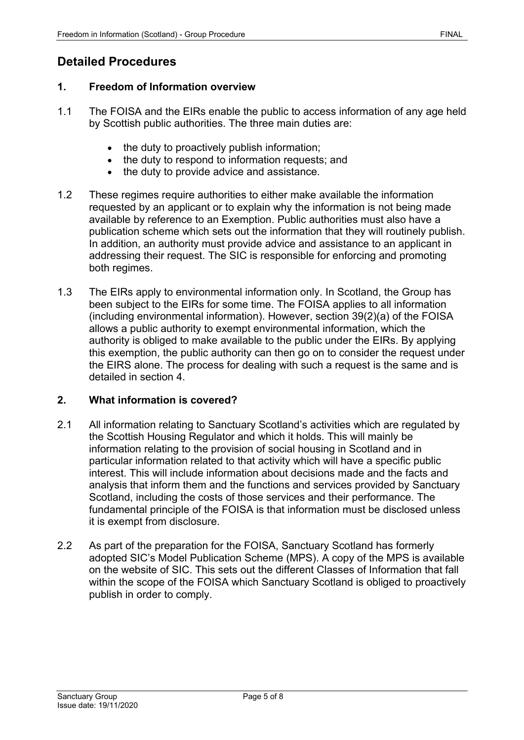# <span id="page-4-1"></span><span id="page-4-0"></span>**1. Freedom of Information overview**

- 1.1 The FOISA and the EIRs enable the public to access information of any age held by Scottish public authorities. The three main duties are:
	- the duty to proactively publish information;
	- the duty to respond to information requests; and
	- the duty to provide advice and assistance.
- 1.2 These regimes require authorities to either make available the information requested by an applicant or to explain why the information is not being made available by reference to an Exemption. Public authorities must also have a publication scheme which sets out the information that they will routinely publish. In addition, an authority must provide advice and assistance to an applicant in addressing their request. The SIC is responsible for enforcing and promoting both regimes.
- 1.3 The EIRs apply to environmental information only. In Scotland, the Group has been subject to the EIRs for some time. The FOISA applies to all information (including environmental information). However, section 39(2)(a) of the FOISA allows a public authority to exempt environmental information, which the authority is obliged to make available to the public under the EIRs. By applying this exemption, the public authority can then go on to consider the request under the EIRS alone. The process for dealing with such a request is the same and is detailed in section 4.

# <span id="page-4-2"></span>**2. What information is covered?**

- 2.1 All information relating to Sanctuary Scotland's activities which are regulated by the Scottish Housing Regulator and which it holds. This will mainly be information relating to the provision of social housing in Scotland and in particular information related to that activity which will have a specific public interest. This will include information about decisions made and the facts and analysis that inform them and the functions and services provided by Sanctuary Scotland, including the costs of those services and their performance. The fundamental principle of the FOISA is that information must be disclosed unless it is exempt from disclosure.
- 2.2 As part of the preparation for the FOISA, Sanctuary Scotland has formerly adopted SIC's Model Publication Scheme (MPS). A copy of the MPS is available on the website of SIC. This sets out the different Classes of Information that fall within the scope of the FOISA which Sanctuary Scotland is obliged to proactively publish in order to comply.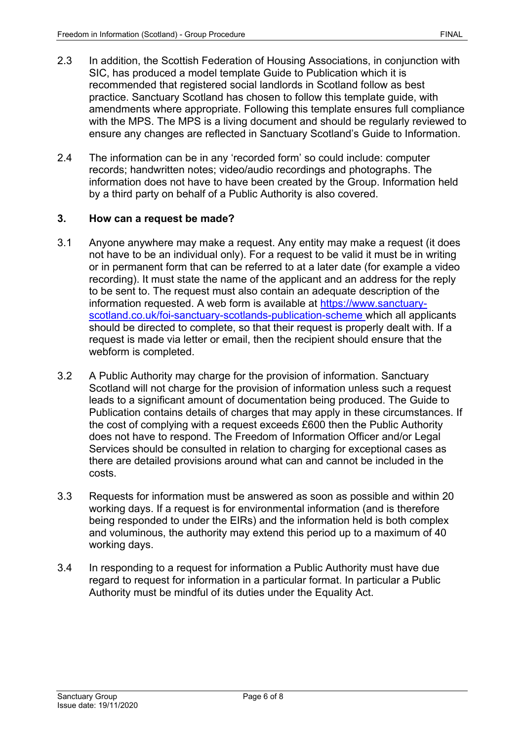- 2.3 In addition, the Scottish Federation of Housing Associations, in conjunction with SIC, has produced a model template Guide to Publication which it is recommended that registered social landlords in Scotland follow as best practice. Sanctuary Scotland has chosen to follow this template guide, with amendments where appropriate. Following this template ensures full compliance with the MPS. The MPS is a living document and should be regularly reviewed to ensure any changes are reflected in Sanctuary Scotland's Guide to Information.
- 2.4 The information can be in any 'recorded form' so could include: computer records; handwritten notes; video/audio recordings and photographs. The information does not have to have been created by the Group. Information held by a third party on behalf of a Public Authority is also covered.

### <span id="page-5-0"></span>**3. How can a request be made?**

- 3.1 Anyone anywhere may make a request. Any entity may make a request (it does not have to be an individual only). For a request to be valid it must be in writing or in permanent form that can be referred to at a later date (for example a video recording). It must state the name of the applicant and an address for the reply to be sent to. The request must also contain an adequate description of the information requested. A web form is available at [https://www.sanctuary](https://www.sanctuary-scotland.co.uk/foi-sanctuary-scotlands-publication-scheme)[scotland.co.uk/foi-sanctuary-scotlands-publication-scheme](https://www.sanctuary-scotland.co.uk/foi-sanctuary-scotlands-publication-scheme) which all applicants should be directed to complete, so that their request is properly dealt with. If a request is made via letter or email, then the recipient should ensure that the webform is completed.
- 3.2 A Public Authority may charge for the provision of information. Sanctuary Scotland will not charge for the provision of information unless such a request leads to a significant amount of documentation being produced. The Guide to Publication contains details of charges that may apply in these circumstances. If the cost of complying with a request exceeds £600 then the Public Authority does not have to respond. The Freedom of Information Officer and/or Legal Services should be consulted in relation to charging for exceptional cases as there are detailed provisions around what can and cannot be included in the costs.
- 3.3 Requests for information must be answered as soon as possible and within 20 working days. If a request is for environmental information (and is therefore being responded to under the EIRs) and the information held is both complex and voluminous, the authority may extend this period up to a maximum of 40 working days.
- 3.4 In responding to a request for information a Public Authority must have due regard to request for information in a particular format. In particular a Public Authority must be mindful of its duties under the Equality Act.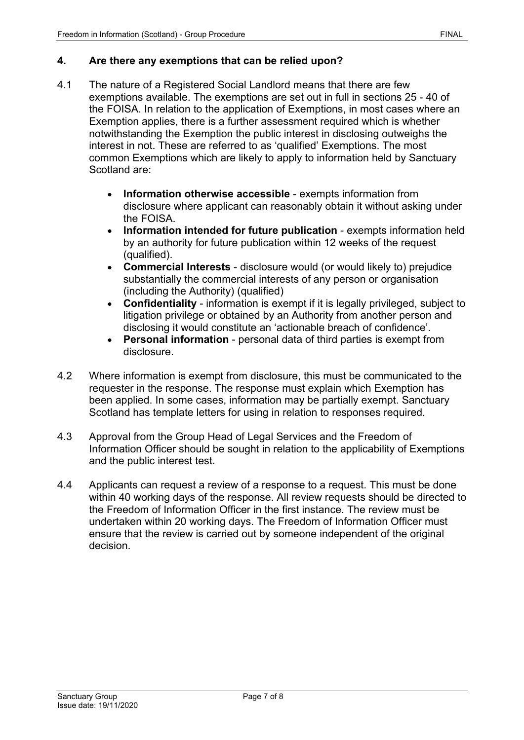#### <span id="page-6-0"></span>**4. Are there any exemptions that can be relied upon?**

- 4.1 The nature of a Registered Social Landlord means that there are few exemptions available. The exemptions are set out in full in sections 25 - 40 of the FOISA. In relation to the application of Exemptions, in most cases where an Exemption applies, there is a further assessment required which is whether notwithstanding the Exemption the public interest in disclosing outweighs the interest in not. These are referred to as 'qualified' Exemptions. The most common Exemptions which are likely to apply to information held by Sanctuary Scotland are:
	- **Information otherwise accessible** exempts information from disclosure where applicant can reasonably obtain it without asking under the FOISA.
	- **Information intended for future publication** exempts information held by an authority for future publication within 12 weeks of the request (qualified).
	- **Commercial Interests** disclosure would (or would likely to) prejudice substantially the commercial interests of any person or organisation (including the Authority) (qualified)
	- **Confidentiality** information is exempt if it is legally privileged, subject to litigation privilege or obtained by an Authority from another person and disclosing it would constitute an 'actionable breach of confidence'.
	- **Personal information** personal data of third parties is exempt from disclosure.
- 4.2 Where information is exempt from disclosure, this must be communicated to the requester in the response. The response must explain which Exemption has been applied. In some cases, information may be partially exempt. Sanctuary Scotland has template letters for using in relation to responses required.
- 4.3 Approval from the Group Head of Legal Services and the Freedom of Information Officer should be sought in relation to the applicability of Exemptions and the public interest test.
- 4.4 Applicants can request a review of a response to a request. This must be done within 40 working days of the response. All review requests should be directed to the Freedom of Information Officer in the first instance. The review must be undertaken within 20 working days. The Freedom of Information Officer must ensure that the review is carried out by someone independent of the original decision.